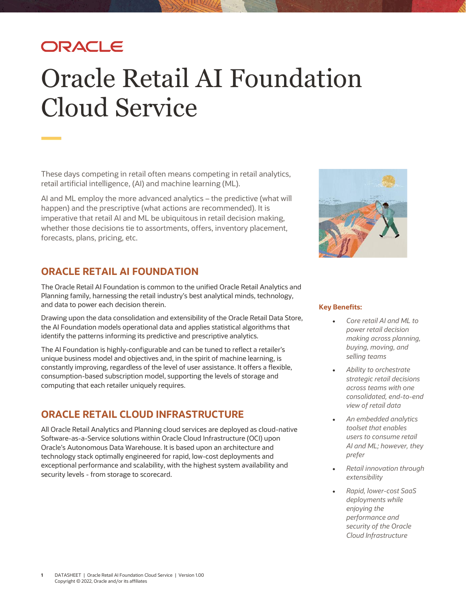# ORACLE

# Oracle Retail AI Foundation Cloud Service

These days competing in retail often means competing in retail analytics, retail artificial intelligence, (AI) and machine learning (ML).

AI and ML employ the more advanced analytics – the predictive (what will happen) and the prescriptive (what actions are recommended). It is imperative that retail AI and ML be ubiquitous in retail decision making, whether those decisions tie to assortments, offers, inventory placement, forecasts, plans, pricing, etc.

# **ORACLE RETAIL AI FOUNDATION**

The Oracle Retail AI Foundation is common to the unified Oracle Retail Analytics and Planning family, harnessing the retail industry's best analytical minds, technology, and data to power each decision therein.

Drawing upon the data consolidation and extensibility of the Oracle Retail Data Store, the AI Foundation models operational data and applies statistical algorithms that identify the patterns informing its predictive and prescriptive analytics.

The AI Foundation is highly-configurable and can be tuned to reflect a retailer's unique business model and objectives and, in the spirit of machine learning, is constantly improving, regardless of the level of user assistance. It offers a flexible, consumption-based subscription model, supporting the levels of storage and computing that each retailer uniquely requires.

# **ORACLE RETAIL CLOUD INFRASTRUCTURE**

All Oracle Retail Analytics and Planning cloud services are deployed as cloud-native Software-as-a-Service solutions within Oracle Cloud Infrastructure (OCI) upon Oracle's Autonomous Data Warehouse. It is based upon an architecture and technology stack optimally engineered for rapid, low-cost deployments and exceptional performance and scalability, with the highest system availability and security levels - from storage to scorecard.



### **Key Benefits:**

- *Core retail AI and ML to power retail decision making across planning, buying, moving, and selling teams*
- *Ability to orchestrate strategic retail decisions across teams with one consolidated, end-to-end view of retail data*
- *An embedded analytics toolset that enables users to consume retail AI and ML; however, they prefer*
- *Retail innovation through extensibility*
- *Rapid, lower-cost SaaS deployments while enjoying the performance and security of the Oracle Cloud Infrastructure*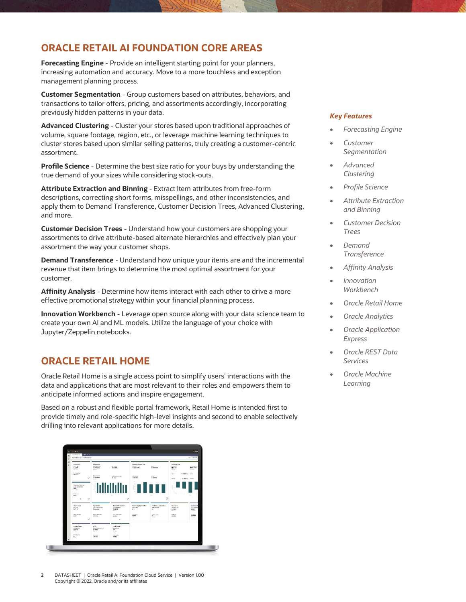### **ORACLE RETAIL AI FOUNDATION CORE AREAS**

**Forecasting Engine** - Provide an intelligent starting point for your planners, increasing automation and accuracy. Move to a more touchless and exception management planning process.

**Customer Segmentation** - Group customers based on attributes, behaviors, and transactions to tailor offers, pricing, and assortments accordingly, incorporating previously hidden patterns in your data.

**Advanced Clustering** - Cluster your stores based upon traditional approaches of volume, square footage, region, etc., or leverage machine learning techniques to cluster stores based upon similar selling patterns, truly creating a customer-centric assortment.

**Profile Science** - Determine the best size ratio for your buys by understanding the true demand of your sizes while considering stock-outs.

**Attribute Extraction and Binning** - Extract item attributes from free-form descriptions, correcting short forms, misspellings, and other inconsistencies, and apply them to Demand Transference, Customer Decision Trees, Advanced Clustering, and more.

**Customer Decision Trees** - Understand how your customers are shopping your assortments to drive attribute-based alternate hierarchies and effectively plan your assortment the way your customer shops.

**Demand Transference** - Understand how unique your items are and the incremental revenue that item brings to determine the most optimal assortment for your customer.

**Affinity Analysis** - Determine how items interact with each other to drive a more effective promotional strategy within your financial planning process.

**Innovation Workbench** - Leverage open source along with your data science team to create your own AI and ML models. Utilize the language of your choice with Jupyter/Zeppelin notebooks.

## **ORACLE RETAIL HOME**

Oracle Retail Home is a single access point to simplify users' interactions with the data and applications that are most relevant to their roles and empowers them to anticipate informed actions and inspire engagement.

Based on a robust and flexible portal framework, Retail Home is intended first to provide timely and role-specific high-level insights and second to enable selectively drilling into relevant applications for more details.

| 罩<br>$\alpha$<br>ø<br>$\circ$ | <b>House</b> is<br>mine Debbrare 10<br>Home for denouser denounce.                                          |                                                                                              |                                                                                                               |                                                                         |                                                                                       |                                                                                                | his it sissed                                                                               |
|-------------------------------|-------------------------------------------------------------------------------------------------------------|----------------------------------------------------------------------------------------------|---------------------------------------------------------------------------------------------------------------|-------------------------------------------------------------------------|---------------------------------------------------------------------------------------|------------------------------------------------------------------------------------------------|---------------------------------------------------------------------------------------------|
|                               | fundion<br>Paris Sales<br>4.50eM<br><b>Register</b><br><b>Sto Tex Select</b><br>32,34%                      | <b>Steve Decay</b><br>Eventween Orms<br><b>GYSTEM</b><br>finitum of the<br><b>Sun Driver</b> | <b>Breton</b><br>(3 x x m<br>Suttone American                                                                 | <b>Bedroom Business VTD</b><br>Nethern<br>O 283, corps<br>SEK LIRE      | Now of the<br>O MASSM                                                                 | <b>Insurances</b> Plan<br>sorial.<br><b>B23.AM</b><br>Garrison".<br>$0.39358 - 117$<br>$-0.00$ | greater<br><b>B</b> 74.5751<br><b>Junited</b>                                               |
|                               | ë,<br><b>Captures Returns</b><br>Custom Returning<br>55.02<br>Stanfee:<br>Alberta St.<br>1.0%<br>×<br>$+10$ | 0.12.633M<br>DOM: Y                                                                          | 0.989<br>×,                                                                                                   | O SORSS<br>$\sim$<br>$\sim$<br>۰<br>$\sim$                              | $\frac{m\pi}{0.6378}$<br>÷<br>Ø                                                       | 0.4388<br>Har Plain<br>$\sim$<br>÷                                                             | <b>Teaching</b><br>$\overline{a}$<br>۰<br>$\sim$                                            |
|                               | to three.<br>has false<br><b>109M</b><br><b>Vinda of Kopply</b><br>5.977                                    | Tre-travels<br>beforecemen.<br>Pennsonic<br><b>New York Sales Ration</b><br><b>SERIESE</b>   | thosekhikk covenany<br>University Ones<br>550,665K<br><b>Castled</b><br><b>Silligia Les Viers</b><br>$-0.895$ | Packackg Open Diday.<br>Ger-Tren<br>$\mathbf{1}$<br>Orango Cali<br>ross | Penchasing Late-Onlines<br>Part Doc Ontary<br>$\mathbf{z}$<br>œ<br>Test Or Order<br>× | скимин<br>Cemina Scie<br>4,492M<br>Bally R.C.<br>tégrit<br>49.99%                              | <b>Customer &amp;</b><br><b>Studenter</b><br>6,065<br>Participe<br>Net Side:<br>19, 79, 974 |
|                               | c<br>Loyalty Policie<br>Passo Barnet<br>14,4595<br>See.                                                     | <b>REVS</b><br>Report of the Av 1873<br>21,2890<br>on co                                     | n.<br>Stock County<br><b>Parant County</b><br>147<br><b>Street</b>                                            |                                                                         | Contr.                                                                                |                                                                                                | <b>GENE</b>                                                                                 |
| $\circ$                       | <b>Point Except</b><br>$\Sigma$                                                                             | <b>Namo</b><br>44,42%                                                                        | 9-403-504<br>$-2.866$                                                                                         |                                                                         |                                                                                       |                                                                                                |                                                                                             |

# *Key Features*

- *Forecasting Engine*
- *Customer Segmentation*
- *Advanced Clustering*
- *Profile Science*
- *Attribute Extraction and Binning*
- *Customer Decision Trees*
- *Demand Transference*
- *Affinity Analysis*
- *Innovation Workbench*
- *Oracle Retail Home*
- *Oracle Analytics*
- *Oracle Application Express*
- *Oracle REST Data Services*
- *Oracle Machine Learning*

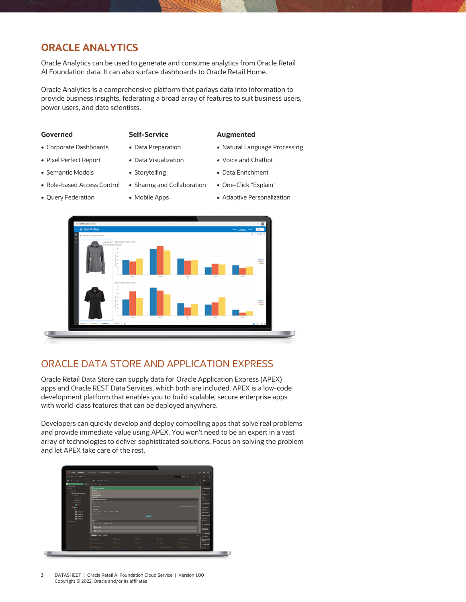## **ORACLE ANALYTICS**

Oracle Analytics can be used to generate and consume analytics from Oracle Retail AI Foundation data. It can also surface dashboards to Oracle Retail Home.

Oracle Analytics is a comprehensive platform that parlays data into information to provide business insights, federating a broad array of features to suit business users, power users, and data scientists.

- Pixel Perfect Report Data Visualization Voice and Chatbot
- Semantic Models Storytelling Data Enrichment
- Role-based Access Control Sharing and Collaboration One-Click "Explain"
- 

### **Governed Self-Service Augmented**

- Corporate Dashboards Data Preparation Natural Language Processing
	-
	-
	-
- Query Federation Mobile Apps Adaptive Personalization

# ORACLE DATA STORE AND APPLICATION EXPRESS

Oracle Retail Data Store can supply data for Oracle Application Express (APEX) apps and Oracle REST Data Services, which both are included. APEX is a low-code development platform that enables you to build scalable, secure enterprise apps with world-class features that can be deployed anywhere.

Developers can quickly develop and deploy compelling apps that solve real problems and provide immediate value using APEX. You won't need to be an expert in a vast array of technologies to deliver sophisticated solutions. Focus on solving the problem and let APEX take care of the rest.



### **3** DATASHEET | Oracle Retail AI Foundation Cloud Service | Version 1.00 Copyright © 2022, Oracle and/or its affiliates